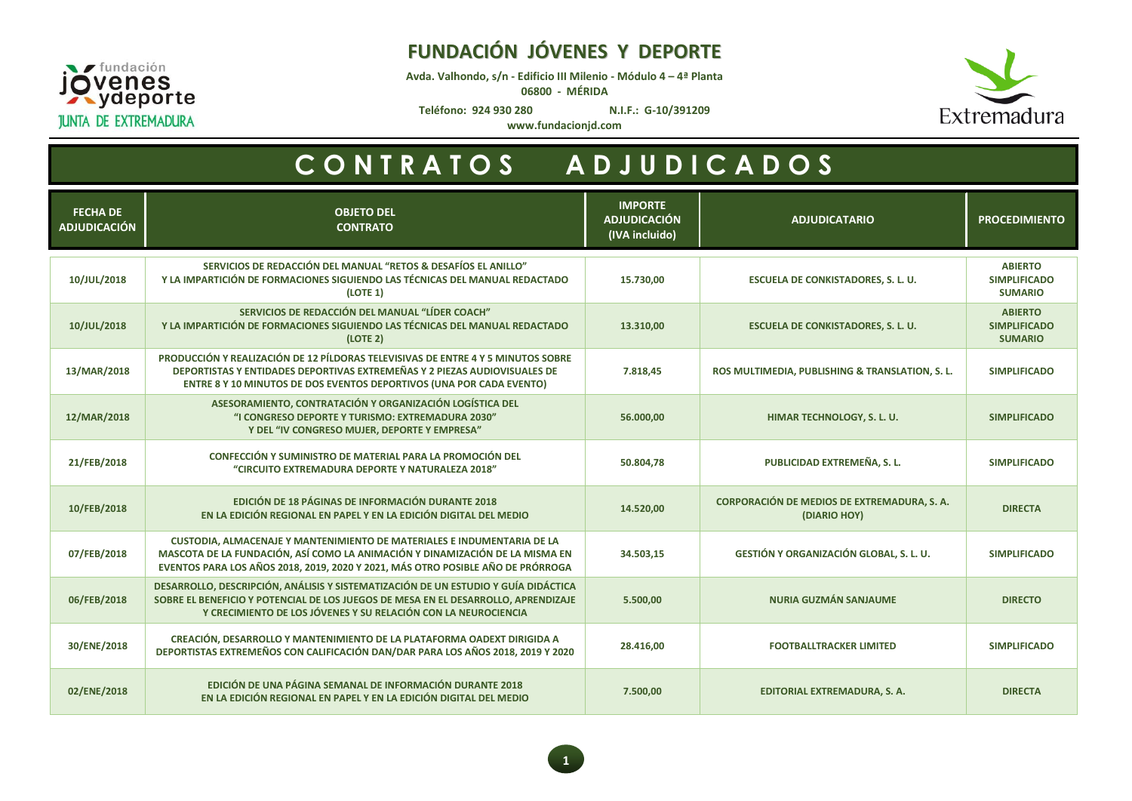

**Avda. Valhondo, s/n - Edificio III Milenio - Módulo 4 – 4ª Planta**

**06800 - MÉRIDA**



**Teléfono: 924 930 280 N.I.F.: G-10/391209**

**www.fundacionjd.com**



| <b>FECHA DE</b><br><b>ADJUDICACIÓN</b> | <b>OBJETO DEL</b><br><b>CONTRATO</b>                                                                                                                                                                                                       | <b>IMPORTE</b><br><b>ADJUDICACIÓN</b><br>(IVA incluido) | <b>ADJUDICATARIO</b>                                        | <b>PROCEDIMIENTO</b>                                    |
|----------------------------------------|--------------------------------------------------------------------------------------------------------------------------------------------------------------------------------------------------------------------------------------------|---------------------------------------------------------|-------------------------------------------------------------|---------------------------------------------------------|
| 10/JUL/2018                            | SERVICIOS DE REDACCIÓN DEL MANUAL "RETOS & DESAFÍOS EL ANILLO"<br>Y LA IMPARTICIÓN DE FORMACIONES SIGUIENDO LAS TÉCNICAS DEL MANUAL REDACTADO<br>(LOTE 1)                                                                                  | 15.730,00                                               | <b>ESCUELA DE CONKISTADORES, S. L. U.</b>                   | <b>ABIERTO</b><br><b>SIMPLIFICADO</b><br><b>SUMARIO</b> |
| 10/JUL/2018                            | SERVICIOS DE REDACCIÓN DEL MANUAL "LÍDER COACH"<br>Y LA IMPARTICIÓN DE FORMACIONES SIGUIENDO LAS TÉCNICAS DEL MANUAL REDACTADO<br>(LOTE 2)                                                                                                 | 13.310,00                                               | <b>ESCUELA DE CONKISTADORES, S. L. U.</b>                   | <b>ABIERTO</b><br><b>SIMPLIFICADO</b><br><b>SUMARIO</b> |
| 13/MAR/2018                            | PRODUCCIÓN Y REALIZACIÓN DE 12 PÍLDORAS TELEVISIVAS DE ENTRE 4 Y 5 MINUTOS SOBRE<br>DEPORTISTAS Y ENTIDADES DEPORTIVAS EXTREMEÑAS Y 2 PIEZAS AUDIOVISUALES DE<br>ENTRE 8 Y 10 MINUTOS DE DOS EVENTOS DEPORTIVOS (UNA POR CADA EVENTO)      | 7.818,45                                                | ROS MULTIMEDIA, PUBLISHING & TRANSLATION, S. L.             | <b>SIMPLIFICADO</b>                                     |
| 12/MAR/2018                            | ASESORAMIENTO, CONTRATACIÓN Y ORGANIZACIÓN LOGÍSTICA DEL<br>"I CONGRESO DEPORTE Y TURISMO: EXTREMADURA 2030"<br>Y DEL "IV CONGRESO MUJER, DEPORTE Y EMPRESA"                                                                               | 56.000,00                                               | HIMAR TECHNOLOGY, S. L. U.                                  | <b>SIMPLIFICADO</b>                                     |
| 21/FEB/2018                            | CONFECCIÓN Y SUMINISTRO DE MATERIAL PARA LA PROMOCIÓN DEL<br>"CIRCUITO EXTREMADURA DEPORTE Y NATURALEZA 2018"                                                                                                                              | 50.804,78                                               | PUBLICIDAD EXTREMEÑA, S. L.                                 | <b>SIMPLIFICADO</b>                                     |
| 10/FEB/2018                            | EDICIÓN DE 18 PÁGINAS DE INFORMACIÓN DURANTE 2018<br>EN LA EDICIÓN REGIONAL EN PAPEL Y EN LA EDICIÓN DIGITAL DEL MEDIO                                                                                                                     | 14.520,00                                               | CORPORACIÓN DE MEDIOS DE EXTREMADURA, S. A.<br>(DIARIO HOY) | <b>DIRECTA</b>                                          |
| 07/FEB/2018                            | CUSTODIA, ALMACENAJE Y MANTENIMIENTO DE MATERIALES E INDUMENTARIA DE LA<br>MASCOTA DE LA FUNDACIÓN, ASÍ COMO LA ANIMACIÓN Y DINAMIZACIÓN DE LA MISMA EN<br>EVENTOS PARA LOS AÑOS 2018, 2019, 2020 Y 2021, MÁS OTRO POSIBLE AÑO DE PRÓRROGA | 34.503,15                                               | <b>GESTIÓN Y ORGANIZACIÓN GLOBAL, S. L. U.</b>              | <b>SIMPLIFICADO</b>                                     |
| 06/FEB/2018                            | DESARROLLO, DESCRIPCIÓN, ANÁLISIS Y SISTEMATIZACIÓN DE UN ESTUDIO Y GUÍA DIDÁCTICA<br>SOBRE EL BENEFICIO Y POTENCIAL DE LOS JUEGOS DE MESA EN EL DESARROLLO, APRENDIZAJE<br>Y CRECIMIENTO DE LOS JÓVENES Y SU RELACIÓN CON LA NEUROCIENCIA | 5.500,00                                                | <b>NURIA GUZMÁN SANJAUME</b>                                | <b>DIRECTO</b>                                          |
| 30/ENE/2018                            | CREACIÓN, DESARROLLO Y MANTENIMIENTO DE LA PLATAFORMA OADEXT DIRIGIDA A<br>DEPORTISTAS EXTREMEÑOS CON CALIFICACIÓN DAN/DAR PARA LOS AÑOS 2018, 2019 Y 2020                                                                                 | 28.416,00                                               | <b>FOOTBALLTRACKER LIMITED</b>                              | <b>SIMPLIFICADO</b>                                     |
| 02/ENE/2018                            | EDICIÓN DE UNA PÁGINA SEMANAL DE INFORMACIÓN DURANTE 2018<br>EN LA EDICIÓN REGIONAL EN PAPEL Y EN LA EDICIÓN DIGITAL DEL MEDIO                                                                                                             | 7.500,00                                                | EDITORIAL EXTREMADURA, S. A.                                | <b>DIRECTA</b>                                          |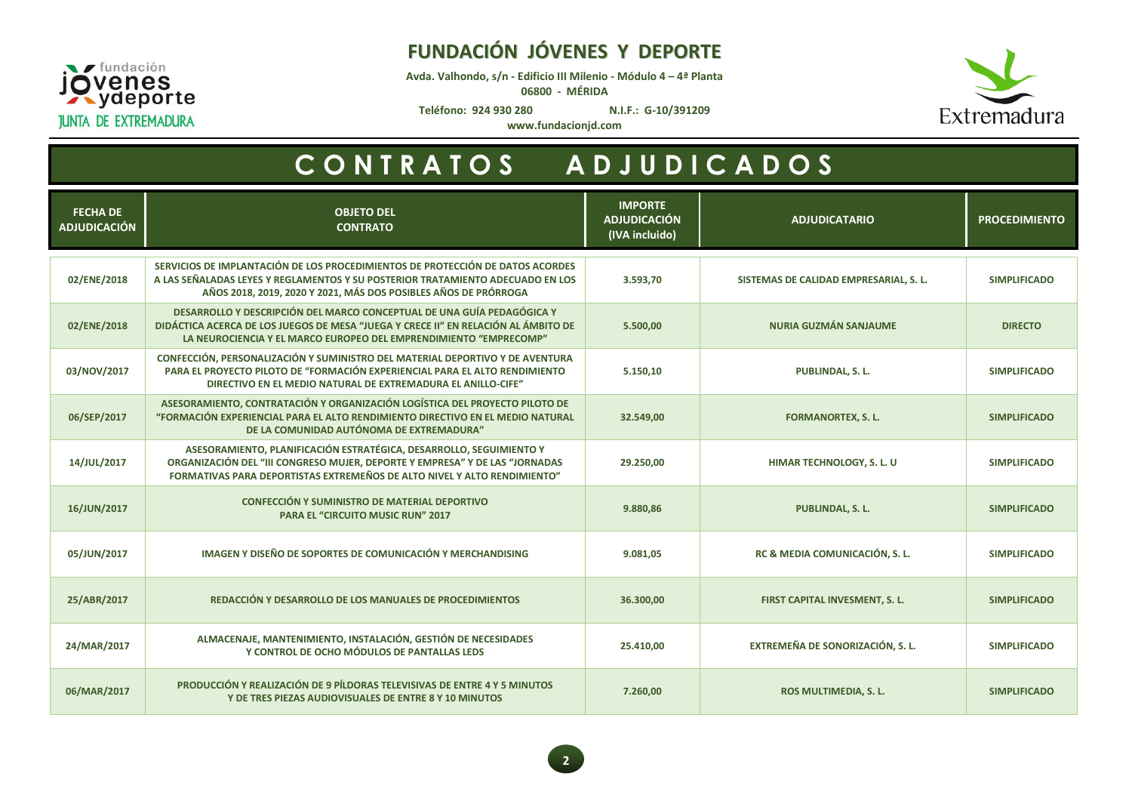

## **FUNDACIÓN JÓVENES Y DEPORTE**

**Avda. Valhondo, s/n - Edificio III Milenio - Módulo 4 – 4ª Planta**

**06800 - MÉRIDA**



**Teléfono: 924 930 280 N.I.F.: G-10/391209**

**www.fundacionjd.com**

| <b>FECHA DE</b><br><b>ADJUDICACIÓN</b> | <b>OBJETO DEL</b><br><b>CONTRATO</b>                                                                                                                                                                                                | <b>IMPORTE</b><br><b>ADJUDICACIÓN</b><br>(IVA incluido) | <b>ADJUDICATARIO</b>                   | <b>PROCEDIMIENTO</b> |
|----------------------------------------|-------------------------------------------------------------------------------------------------------------------------------------------------------------------------------------------------------------------------------------|---------------------------------------------------------|----------------------------------------|----------------------|
| 02/ENE/2018                            | SERVICIOS DE IMPLANTACIÓN DE LOS PROCEDIMIENTOS DE PROTECCIÓN DE DATOS ACORDES<br>A LAS SEÑALADAS LEYES Y REGLAMENTOS Y SU POSTERIOR TRATAMIENTO ADECUADO EN LOS<br>AÑOS 2018, 2019, 2020 Y 2021, MÁS DOS POSIBLES AÑOS DE PRÓRROGA | 3.593,70                                                | SISTEMAS DE CALIDAD EMPRESARIAL, S. L. | <b>SIMPLIFICADO</b>  |
| 02/ENE/2018                            | DESARROLLO Y DESCRIPCIÓN DEL MARCO CONCEPTUAL DE UNA GUÍA PEDAGÓGICA Y<br>DIDÁCTICA ACERCA DE LOS JUEGOS DE MESA "JUEGA Y CRECE II" EN RELACIÓN AL ÁMBITO DE<br>LA NEUROCIENCIA Y EL MARCO EUROPEO DEL EMPRENDIMIENTO "EMPRECOMP"   | 5.500,00                                                | <b>NURIA GUZMÁN SANJAUME</b>           | <b>DIRECTO</b>       |
| 03/NOV/2017                            | CONFECCIÓN, PERSONALIZACIÓN Y SUMINISTRO DEL MATERIAL DEPORTIVO Y DE AVENTURA<br>PARA EL PROYECTO PILOTO DE "FORMACIÓN EXPERIENCIAL PARA EL ALTO RENDIMIENTO<br>DIRECTIVO EN EL MEDIO NATURAL DE EXTREMADURA EL ANILLO-CIFE"        | 5.150,10                                                | PUBLINDAL, S. L.                       | <b>SIMPLIFICADO</b>  |
| 06/SEP/2017                            | ASESORAMIENTO, CONTRATACIÓN Y ORGANIZACIÓN LOGÍSTICA DEL PROYECTO PILOTO DE<br>"FORMACIÓN EXPERIENCIAL PARA EL ALTO RENDIMIENTO DIRECTIVO EN EL MEDIO NATURAL<br>DE LA COMUNIDAD AUTÓNOMA DE EXTREMADURA"                           | 32.549,00                                               | <b>FORMANORTEX, S. L.</b>              | <b>SIMPLIFICADO</b>  |
| 14/JUL/2017                            | ASESORAMIENTO, PLANIFICACIÓN ESTRATÉGICA, DESARROLLO, SEGUIMIENTO Y<br>ORGANIZACIÓN DEL "III CONGRESO MUJER, DEPORTE Y EMPRESA" Y DE LAS "JORNADAS<br>FORMATIVAS PARA DEPORTISTAS EXTREMEÑOS DE ALTO NIVEL Y ALTO RENDIMIENTO"      | 29.250,00                                               | HIMAR TECHNOLOGY, S. L. U              | <b>SIMPLIFICADO</b>  |
| 16/JUN/2017                            | CONFECCIÓN Y SUMINISTRO DE MATERIAL DEPORTIVO<br><b>PARA EL "CIRCUITO MUSIC RUN" 2017</b>                                                                                                                                           | 9.880,86                                                | PUBLINDAL, S. L.                       | <b>SIMPLIFICADO</b>  |
| 05/JUN/2017                            | IMAGEN Y DISEÑO DE SOPORTES DE COMUNICACIÓN Y MERCHANDISING                                                                                                                                                                         | 9.081,05                                                | RC & MEDIA COMUNICACIÓN, S. L.         | <b>SIMPLIFICADO</b>  |
| 25/ABR/2017                            | REDACCIÓN Y DESARROLLO DE LOS MANUALES DE PROCEDIMIENTOS                                                                                                                                                                            | 36.300,00                                               | FIRST CAPITAL INVESMENT, S. L.         | <b>SIMPLIFICADO</b>  |
| 24/MAR/2017                            | ALMACENAJE, MANTENIMIENTO, INSTALACIÓN, GESTIÓN DE NECESIDADES<br>Y CONTROL DE OCHO MÓDULOS DE PANTALLAS LEDS                                                                                                                       | 25.410,00                                               | EXTREMEÑA DE SONORIZACIÓN, S. L.       | <b>SIMPLIFICADO</b>  |
| 06/MAR/2017                            | PRODUCCIÓN Y REALIZACIÓN DE 9 PÍLDORAS TELEVISIVAS DE ENTRE 4 Y 5 MINUTOS<br>Y DE TRES PIEZAS AUDIOVISUALES DE ENTRE 8 Y 10 MINUTOS                                                                                                 | 7.260,00                                                | ROS MULTIMEDIA, S. L.                  | <b>SIMPLIFICADO</b>  |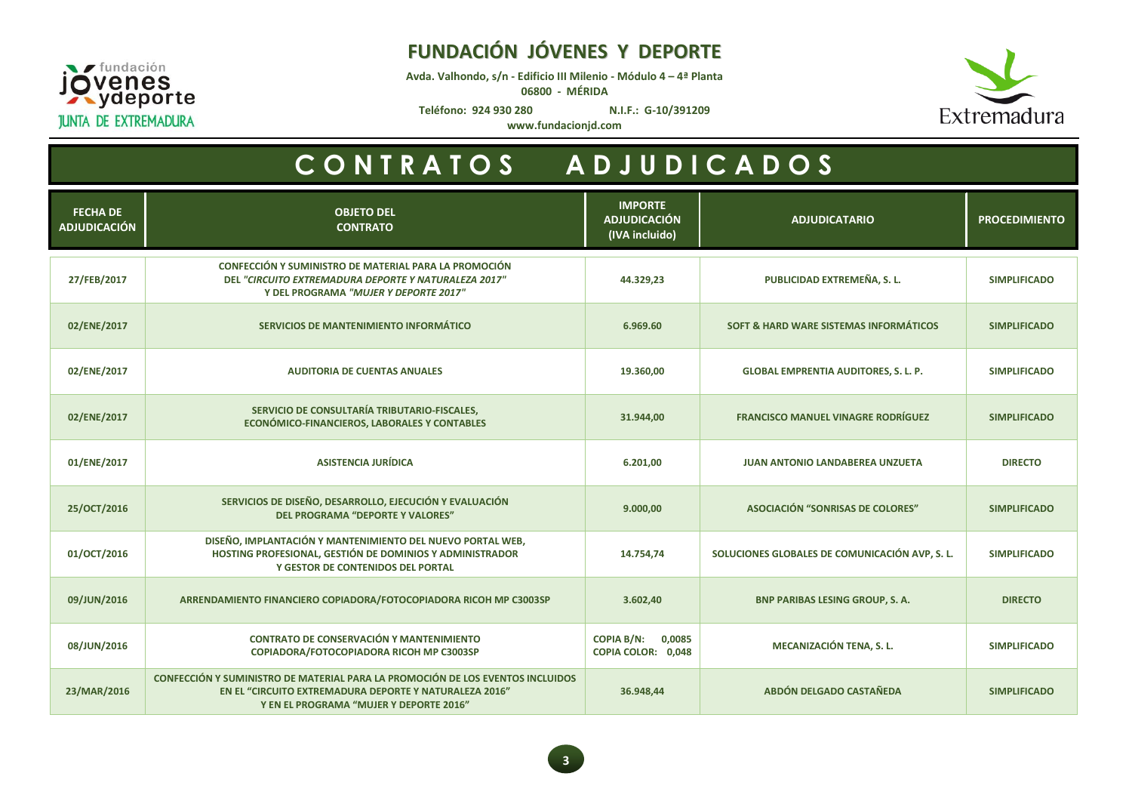

## **FUNDACIÓN JÓVENES Y DEPORTE**

**Avda. Valhondo, s/n - Edificio III Milenio - Módulo 4 – 4ª Planta**

**06800 - MÉRIDA**



**Teléfono: 924 930 280 N.I.F.: G-10/391209**

**www.fundacionjd.com**

| <b>FECHA DE</b><br><b>ADJUDICACIÓN</b> | <b>OBJETO DEL</b><br><b>CONTRATO</b>                                                                                                                                                | <b>IMPORTE</b><br><b>ADJUDICACIÓN</b><br>(IVA incluido) | <b>ADJUDICATARIO</b>                           | <b>PROCEDIMIENTO</b> |
|----------------------------------------|-------------------------------------------------------------------------------------------------------------------------------------------------------------------------------------|---------------------------------------------------------|------------------------------------------------|----------------------|
| 27/FEB/2017                            | CONFECCIÓN Y SUMINISTRO DE MATERIAL PARA LA PROMOCIÓN<br>DEL "CIRCUITO EXTREMADURA DEPORTE Y NATURALEZA 2017"<br>Y DEL PROGRAMA "MUJER Y DEPORTE 2017"                              | 44.329,23                                               | PUBLICIDAD EXTREMEÑA, S. L.                    | <b>SIMPLIFICADO</b>  |
| 02/ENE/2017                            | SERVICIOS DE MANTENIMIENTO INFORMÁTICO                                                                                                                                              | 6.969.60                                                | SOFT & HARD WARE SISTEMAS INFORMÁTICOS         | <b>SIMPLIFICADO</b>  |
| 02/ENE/2017                            | <b>AUDITORIA DE CUENTAS ANUALES</b>                                                                                                                                                 | 19.360,00                                               | <b>GLOBAL EMPRENTIA AUDITORES, S. L. P.</b>    | <b>SIMPLIFICADO</b>  |
| 02/ENE/2017                            | SERVICIO DE CONSULTARÍA TRIBUTARIO-FISCALES,<br>ECONÓMICO-FINANCIEROS, LABORALES Y CONTABLES                                                                                        | 31.944,00                                               | <b>FRANCISCO MANUEL VINAGRE RODRÍGUEZ</b>      | <b>SIMPLIFICADO</b>  |
| 01/ENE/2017                            | <b>ASISTENCIA JURÍDICA</b>                                                                                                                                                          | 6.201,00                                                | <b>JUAN ANTONIO LANDABEREA UNZUETA</b>         | <b>DIRECTO</b>       |
| 25/OCT/2016                            | SERVICIOS DE DISEÑO, DESARROLLO, EJECUCIÓN Y EVALUACIÓN<br><b>DEL PROGRAMA "DEPORTE Y VALORES"</b>                                                                                  | 9.000,00                                                | ASOCIACIÓN "SONRISAS DE COLORES"               | <b>SIMPLIFICADO</b>  |
| 01/OCT/2016                            | DISEÑO, IMPLANTACIÓN Y MANTENIMIENTO DEL NUEVO PORTAL WEB,<br>HOSTING PROFESIONAL, GESTIÓN DE DOMINIOS Y ADMINISTRADOR<br>Y GESTOR DE CONTENIDOS DEL PORTAL                         | 14.754,74                                               | SOLUCIONES GLOBALES DE COMUNICACIÓN AVP, S. L. | <b>SIMPLIFICADO</b>  |
| 09/JUN/2016                            | ARRENDAMIENTO FINANCIERO COPIADORA/FOTOCOPIADORA RICOH MP C3003SP                                                                                                                   | 3.602,40                                                | <b>BNP PARIBAS LESING GROUP, S. A.</b>         | <b>DIRECTO</b>       |
| 08/JUN/2016                            | <b>CONTRATO DE CONSERVACIÓN Y MANTENIMIENTO</b><br>COPIADORA/FOTOCOPIADORA RICOH MP C3003SP                                                                                         | <b>COPIA B/N:</b><br>0,0085<br>COPIA COLOR: 0,048       | MECANIZACIÓN TENA, S. L.                       | <b>SIMPLIFICADO</b>  |
| 23/MAR/2016                            | CONFECCIÓN Y SUMINISTRO DE MATERIAL PARA LA PROMOCIÓN DE LOS EVENTOS INCLUIDOS<br>EN EL "CIRCUITO EXTREMADURA DEPORTE Y NATURALEZA 2016"<br>Y EN EL PROGRAMA "MUJER Y DEPORTE 2016" | 36.948,44                                               | ABDÓN DELGADO CASTAÑEDA                        | <b>SIMPLIFICADO</b>  |